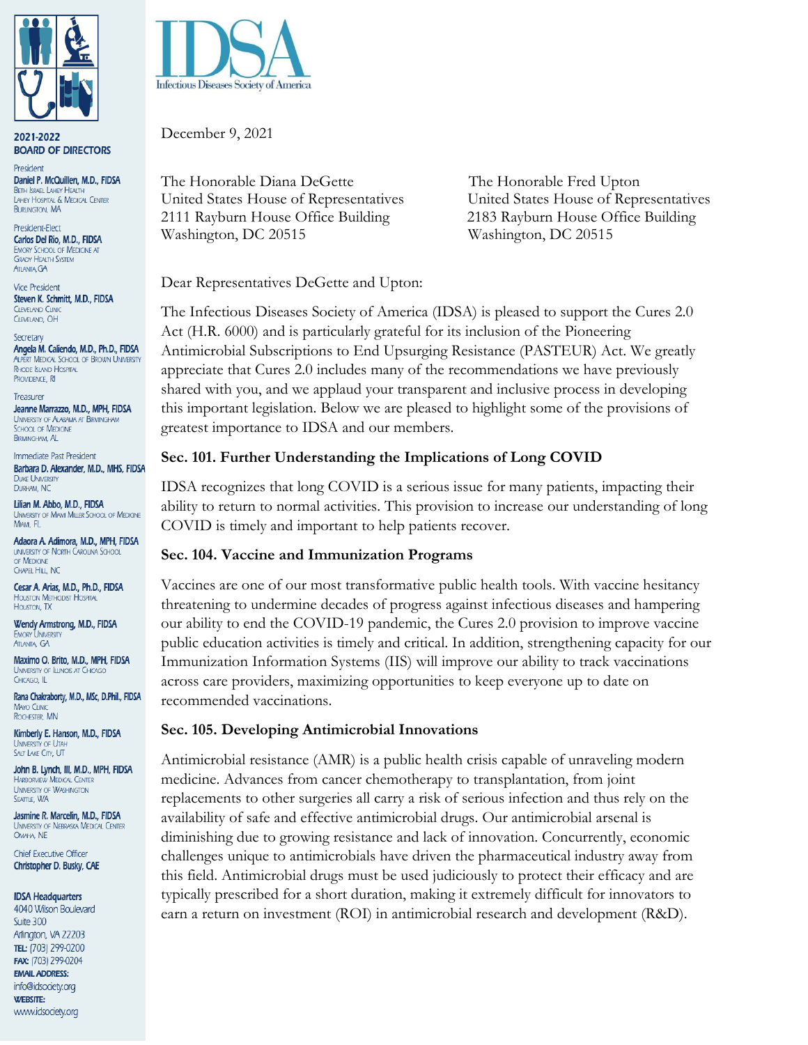

2021-2022 **BOARD OF DIRECTORS** 

President Daniel P. McQuillen, M.D., FIDSA BETH ISRAEL LAHEY HEALTH<br>LAHEY HOSPITAL & MEDICAL CENTER **BURLINGTON, MA** 

President-Elect Carlos Del Rio, M.D., FIDSA **EMORY SCHOOL OF MEDICINE AT GRADY HEALTH SYSTEM** ATLANTA, GA

**Vice President** Steven K. Schmitt, M.D., FIDSA **CLEVELAND CUNIC** CLEVELAND, OH

Secretary Angela M. Caliendo, M.D., Ph.D., FIDSA ALPERT MEDICAL SCHOOL OF BROWN UNIVERSITY **RHODE ISLAND HOSPITAL** PROVIDENCE, RI

Treasurer Jeanne Marrazzo, M.D., MPH, FIDSA **UNIVERSITY OF ALABAMA AT BIRMINGHAM SCHOOL OF MEDICINE BIRMINGHAM, AL** 

Immediate Past President Barbara D. Alexander, M.D., MHS, FIDSA **DUKE UNIVERSITY** DURHAM, NC

Lilian M. Abbo, M.D., FIDSA UNIVERSITY OF MIAMI MILLER SCHOOL OF MEDICINE MIAMI, FL

Adaora A. Adimora, M.D., MPH, FIDSA **UNIVERSITY OF NORTH CAROLINA SCHOOL** OF MEDICINE CHAPEL HILL, NC

Cesar A. Arias, M.D., Ph.D., FIDSA **HOUSTON METHODIST HOSPITAL** HOUSTON, TX

Wendy Armstrong, M.D., FIDSA **EMORY UNIVERSITY** ATLANTA, GA

Maximo O. Brito, M.D., MPH, FIDSA **UNIVERSITY OF ILLINOIS AT CHICAGO** CHICAGO, IL

Rana Chakraborty, M.D., MSc, D.Phil., FIDSA **MAYO CLINIC** ROCHESTER, MN

Kimberly E. Hanson, M.D., FIDSA **UNIVERSITY OF UTAH** SALT LAKE CITY, UT

John B. Lynch, III, M.D., MPH, FIDSA **HARBORVIEW MEDICAL CENTER UNIVERSITY OF WASHINGTON** SEATTLE, WA

Jasmine R. Marcelin, M.D., FIDSA UNIVERSITY OF NEBRASKA MEDICAL CENTER OMAHA, NE

**Chief Executive Officer** Christopher D. Busky, CAE

**IDSA Headquarters** 

4040 Wilson Boulevard Suite 300 Arlington, VA 22203 TEL: (703) 299-0200 FAX: (703) 299-0204 **EMAIL ADDRESS:** info@idsociety.org **WEBSITE:** www.idsociety.org



December 9, 2021

The Honorable Diana DeGette The Honorable Fred Upton United States House of Representatives United States House of Representatives 2111 Rayburn House Office Building 2183 Rayburn House Office Building Washington, DC 20515 Washington, DC 20515

Dear Representatives DeGette and Upton:

The Infectious Diseases Society of America (IDSA) is pleased to support the Cures 2.0 Act (H.R. 6000) and is particularly grateful for its inclusion of the Pioneering Antimicrobial Subscriptions to End Upsurging Resistance (PASTEUR) Act. We greatly appreciate that Cures 2.0 includes many of the recommendations we have previously shared with you, and we applaud your transparent and inclusive process in developing this important legislation. Below we are pleased to highlight some of the provisions of greatest importance to IDSA and our members.

## **Sec. 101. Further Understanding the Implications of Long COVID**

IDSA recognizes that long COVID is a serious issue for many patients, impacting their ability to return to normal activities. This provision to increase our understanding of long COVID is timely and important to help patients recover.

### **Sec. 104. Vaccine and Immunization Programs**

Vaccines are one of our most transformative public health tools. With vaccine hesitancy threatening to undermine decades of progress against infectious diseases and hampering our ability to end the COVID-19 pandemic, the Cures 2.0 provision to improve vaccine public education activities is timely and critical. In addition, strengthening capacity for our Immunization Information Systems (IIS) will improve our ability to track vaccinations across care providers, maximizing opportunities to keep everyone up to date on recommended vaccinations.

### **Sec. 105. Developing Antimicrobial Innovations**

Antimicrobial resistance (AMR) is a public health crisis capable of unraveling modern medicine. Advances from cancer chemotherapy to transplantation, from joint replacements to other surgeries all carry a risk of serious infection and thus rely on the availability of safe and effective antimicrobial drugs. Our antimicrobial arsenal is diminishing due to growing resistance and lack of innovation. Concurrently, economic challenges unique to antimicrobials have driven the pharmaceutical industry away from this field. Antimicrobial drugs must be used judiciously to protect their efficacy and are typically prescribed for a short duration, making it extremely difficult for innovators to earn a return on investment (ROI) in antimicrobial research and development (R&D).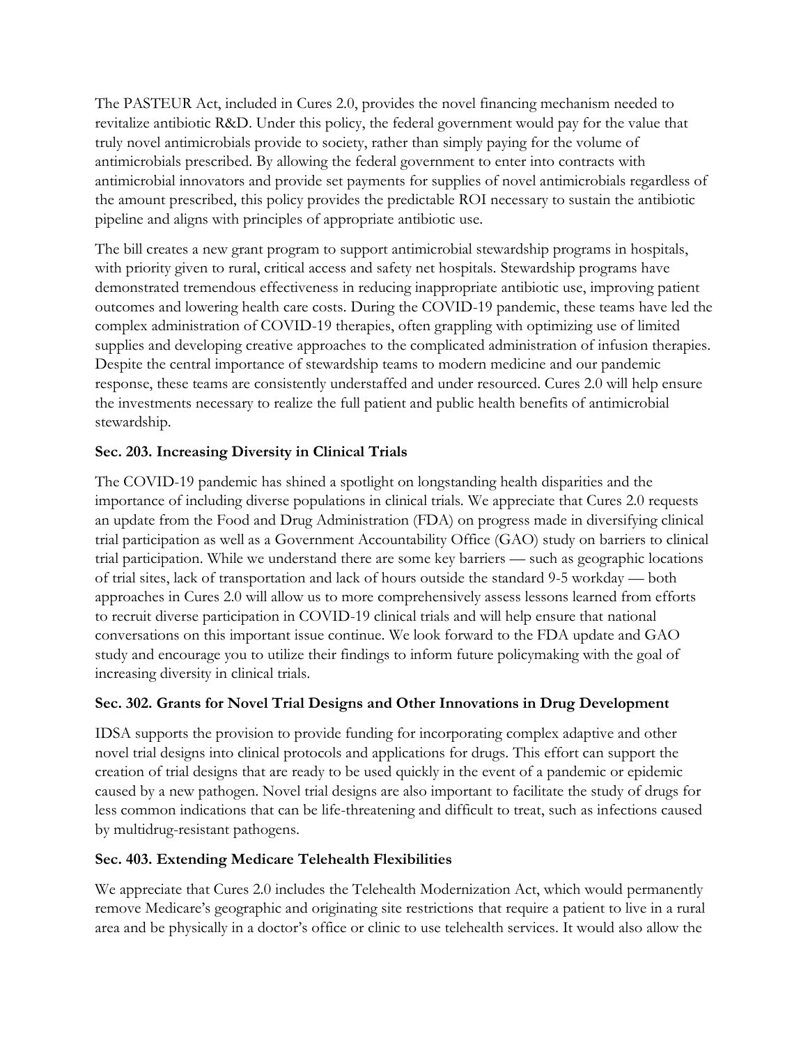The PASTEUR Act, included in Cures 2.0, provides the novel financing mechanism needed to revitalize antibiotic R&D. Under this policy, the federal government would pay for the value that truly novel antimicrobials provide to society, rather than simply paying for the volume of antimicrobials prescribed. By allowing the federal government to enter into contracts with antimicrobial innovators and provide set payments for supplies of novel antimicrobials regardless of the amount prescribed, this policy provides the predictable ROI necessary to sustain the antibiotic pipeline and aligns with principles of appropriate antibiotic use.

The bill creates a new grant program to support antimicrobial stewardship programs in hospitals, with priority given to rural, critical access and safety net hospitals. Stewardship programs have demonstrated tremendous effectiveness in reducing inappropriate antibiotic use, improving patient outcomes and lowering health care costs. During the COVID-19 pandemic, these teams have led the complex administration of COVID-19 therapies, often grappling with optimizing use of limited supplies and developing creative approaches to the complicated administration of infusion therapies. Despite the central importance of stewardship teams to modern medicine and our pandemic response, these teams are consistently understaffed and under resourced. Cures 2.0 will help ensure the investments necessary to realize the full patient and public health benefits of antimicrobial stewardship.

## **Sec. 203. Increasing Diversity in Clinical Trials**

The COVID-19 pandemic has shined a spotlight on longstanding health disparities and the importance of including diverse populations in clinical trials. We appreciate that Cures 2.0 requests an update from the Food and Drug Administration (FDA) on progress made in diversifying clinical trial participation as well as a Government Accountability Office (GAO) study on barriers to clinical trial participation. While we understand there are some key barriers — such as geographic locations of trial sites, lack of transportation and lack of hours outside the standard 9-5 workday — both approaches in Cures 2.0 will allow us to more comprehensively assess lessons learned from efforts to recruit diverse participation in COVID-19 clinical trials and will help ensure that national conversations on this important issue continue. We look forward to the FDA update and GAO study and encourage you to utilize their findings to inform future policymaking with the goal of increasing diversity in clinical trials.

# **Sec. 302. Grants for Novel Trial Designs and Other Innovations in Drug Development**

IDSA supports the provision to provide funding for incorporating complex adaptive and other novel trial designs into clinical protocols and applications for drugs. This effort can support the creation of trial designs that are ready to be used quickly in the event of a pandemic or epidemic caused by a new pathogen. Novel trial designs are also important to facilitate the study of drugs for less common indications that can be life-threatening and difficult to treat, such as infections caused by multidrug-resistant pathogens.

### **Sec. 403. Extending Medicare Telehealth Flexibilities**

We appreciate that Cures 2.0 includes the Telehealth Modernization Act, which would permanently remove Medicare's geographic and originating site restrictions that require a patient to live in a rural area and be physically in a doctor's office or clinic to use telehealth services. It would also allow the